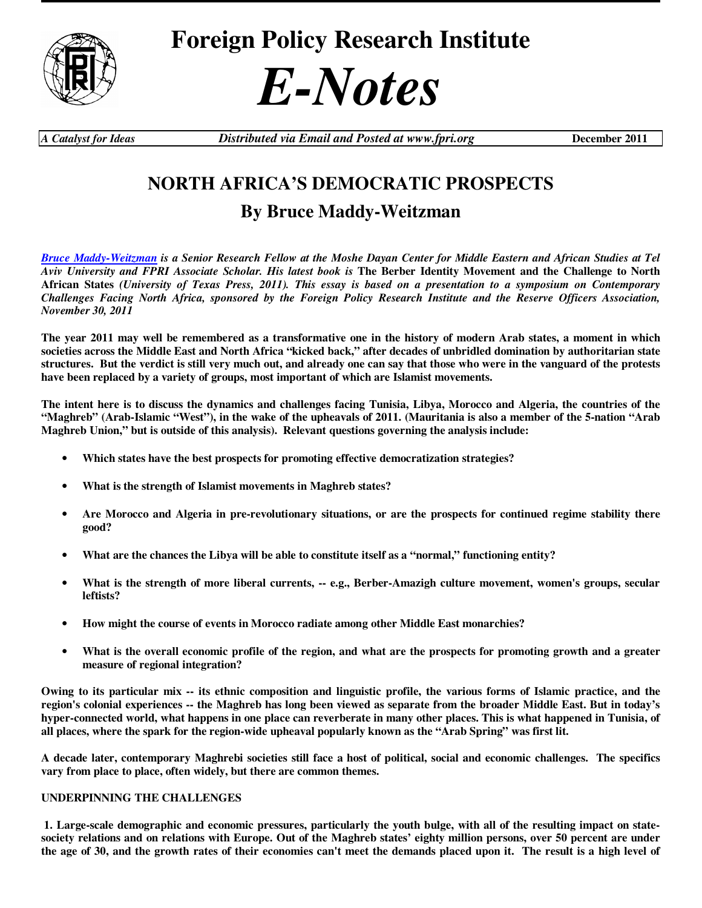

# *E-Notes*

*A Catalyst for Ideas Distributed via Email and Posted at www.fpri.org* **December 2011** 

# **NORTH AFRICA'S DEMOCRATIC PROSPECTS**

# **By Bruce Maddy-Weitzman**

*Bruce Maddy-Weitzman is a Senior Research Fellow at the Moshe Dayan Center for Middle Eastern and African Studies at Tel Aviv University and FPRI Associate Scholar. His latest book is* **The Berber Identity Movement and the Challenge to North African States** *(University of Texas Press, 2011). This essay is based on a presentation to a symposium on Contemporary Challenges Facing North Africa, sponsored by the Foreign Policy Research Institute and the Reserve Officers Association, November 30, 2011* 

**The year 2011 may well be remembered as a transformative one in the history of modern Arab states, a moment in which societies across the Middle East and North Africa "kicked back," after decades of unbridled domination by authoritarian state structures. But the verdict is still very much out, and already one can say that those who were in the vanguard of the protests have been replaced by a variety of groups, most important of which are Islamist movements.** 

**The intent here is to discuss the dynamics and challenges facing Tunisia, Libya, Morocco and Algeria, the countries of the "Maghreb" (Arab-Islamic "West"), in the wake of the upheavals of 2011. (Mauritania is also a member of the 5-nation "Arab Maghreb Union," but is outside of this analysis). Relevant questions governing the analysis include:** 

- **Which states have the best prospects for promoting effective democratization strategies?**
- **What is the strength of Islamist movements in Maghreb states?**
- **Are Morocco and Algeria in pre-revolutionary situations, or are the prospects for continued regime stability there good?**
- **What are the chances the Libya will be able to constitute itself as a "normal," functioning entity?**
- **What is the strength of more liberal currents, -- e.g., Berber-Amazigh culture movement, women's groups, secular leftists?**
- **How might the course of events in Morocco radiate among other Middle East monarchies?**
- **What is the overall economic profile of the region, and what are the prospects for promoting growth and a greater measure of regional integration?**

**Owing to its particular mix -- its ethnic composition and linguistic profile, the various forms of Islamic practice, and the region's colonial experiences -- the Maghreb has long been viewed as separate from the broader Middle East. But in today's hyper-connected world, what happens in one place can reverberate in many other places. This is what happened in Tunisia, of all places, where the spark for the region-wide upheaval popularly known as the "Arab Spring" was first lit.** 

**A decade later, contemporary Maghrebi societies still face a host of political, social and economic challenges. The specifics vary from place to place, often widely, but there are common themes.** 

## **UNDERPINNING THE CHALLENGES**

 **1. Large-scale demographic and economic pressures, particularly the youth bulge, with all of the resulting impact on statesociety relations and on relations with Europe. Out of the Maghreb states' eighty million persons, over 50 percent are under the age of 30, and the growth rates of their economies can't meet the demands placed upon it. The result is a high level of**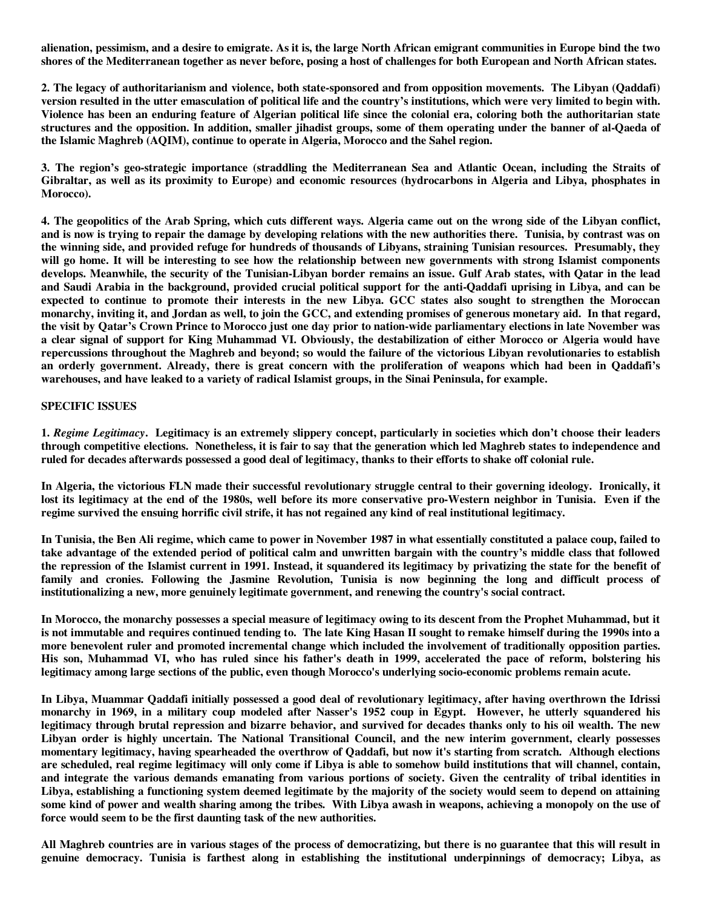**alienation, pessimism, and a desire to emigrate. As it is, the large North African emigrant communities in Europe bind the two shores of the Mediterranean together as never before, posing a host of challenges for both European and North African states.** 

**2. The legacy of authoritarianism and violence, both state-sponsored and from opposition movements. The Libyan (Qaddafi) version resulted in the utter emasculation of political life and the country's institutions, which were very limited to begin with. Violence has been an enduring feature of Algerian political life since the colonial era, coloring both the authoritarian state structures and the opposition. In addition, smaller jihadist groups, some of them operating under the banner of al-Qaeda of the Islamic Maghreb (AQIM), continue to operate in Algeria, Morocco and the Sahel region.** 

**3. The region's geo-strategic importance (straddling the Mediterranean Sea and Atlantic Ocean, including the Straits of Gibraltar, as well as its proximity to Europe) and economic resources (hydrocarbons in Algeria and Libya, phosphates in Morocco).** 

**4. The geopolitics of the Arab Spring, which cuts different ways. Algeria came out on the wrong side of the Libyan conflict, and is now is trying to repair the damage by developing relations with the new authorities there. Tunisia, by contrast was on the winning side, and provided refuge for hundreds of thousands of Libyans, straining Tunisian resources. Presumably, they will go home. It will be interesting to see how the relationship between new governments with strong Islamist components develops. Meanwhile, the security of the Tunisian-Libyan border remains an issue. Gulf Arab states, with Qatar in the lead and Saudi Arabia in the background, provided crucial political support for the anti-Qaddafi uprising in Libya, and can be expected to continue to promote their interests in the new Libya. GCC states also sought to strengthen the Moroccan monarchy, inviting it, and Jordan as well, to join the GCC, and extending promises of generous monetary aid. In that regard, the visit by Qatar's Crown Prince to Morocco just one day prior to nation-wide parliamentary elections in late November was a clear signal of support for King Muhammad VI. Obviously, the destabilization of either Morocco or Algeria would have repercussions throughout the Maghreb and beyond; so would the failure of the victorious Libyan revolutionaries to establish an orderly government. Already, there is great concern with the proliferation of weapons which had been in Qaddafi's warehouses, and have leaked to a variety of radical Islamist groups, in the Sinai Peninsula, for example.** 

#### **SPECIFIC ISSUES**

**1.** *Regime Legitimacy***. Legitimacy is an extremely slippery concept, particularly in societies which don't choose their leaders through competitive elections. Nonetheless, it is fair to say that the generation which led Maghreb states to independence and ruled for decades afterwards possessed a good deal of legitimacy, thanks to their efforts to shake off colonial rule.** 

**In Algeria, the victorious FLN made their successful revolutionary struggle central to their governing ideology. Ironically, it lost its legitimacy at the end of the 1980s, well before its more conservative pro-Western neighbor in Tunisia. Even if the regime survived the ensuing horrific civil strife, it has not regained any kind of real institutional legitimacy.** 

**In Tunisia, the Ben Ali regime, which came to power in November 1987 in what essentially constituted a palace coup, failed to take advantage of the extended period of political calm and unwritten bargain with the country's middle class that followed the repression of the Islamist current in 1991. Instead, it squandered its legitimacy by privatizing the state for the benefit of family and cronies. Following the Jasmine Revolution, Tunisia is now beginning the long and difficult process of institutionalizing a new, more genuinely legitimate government, and renewing the country's social contract.**

**In Morocco, the monarchy possesses a special measure of legitimacy owing to its descent from the Prophet Muhammad, but it is not immutable and requires continued tending to. The late King Hasan II sought to remake himself during the 1990s into a more benevolent ruler and promoted incremental change which included the involvement of traditionally opposition parties. His son, Muhammad VI, who has ruled since his father's death in 1999, accelerated the pace of reform, bolstering his legitimacy among large sections of the public, even though Morocco's underlying socio-economic problems remain acute.** 

**In Libya, Muammar Qaddafi initially possessed a good deal of revolutionary legitimacy, after having overthrown the Idrissi monarchy in 1969, in a military coup modeled after Nasser's 1952 coup in Egypt. However, he utterly squandered his legitimacy through brutal repression and bizarre behavior, and survived for decades thanks only to his oil wealth. The new Libyan order is highly uncertain. The National Transitional Council, and the new interim government, clearly possesses momentary legitimacy, having spearheaded the overthrow of Qaddafi, but now it's starting from scratch. Although elections are scheduled, real regime legitimacy will only come if Libya is able to somehow build institutions that will channel, contain, and integrate the various demands emanating from various portions of society. Given the centrality of tribal identities in Libya, establishing a functioning system deemed legitimate by the majority of the society would seem to depend on attaining some kind of power and wealth sharing among the tribes. With Libya awash in weapons, achieving a monopoly on the use of force would seem to be the first daunting task of the new authorities.** 

**All Maghreb countries are in various stages of the process of democratizing, but there is no guarantee that this will result in genuine democracy. Tunisia is farthest along in establishing the institutional underpinnings of democracy; Libya, as**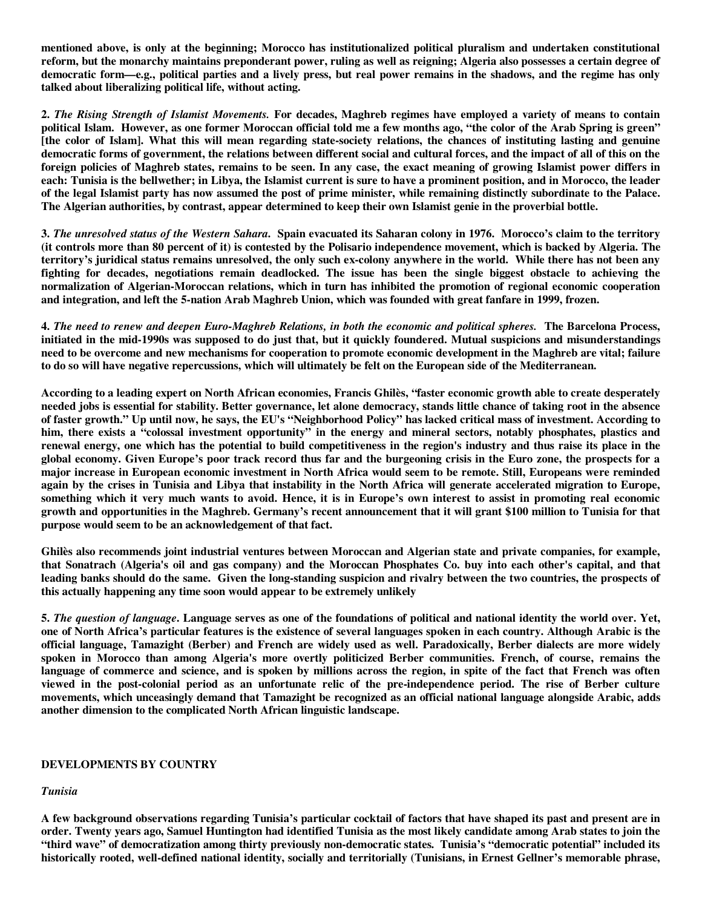**mentioned above, is only at the beginning; Morocco has institutionalized political pluralism and undertaken constitutional reform, but the monarchy maintains preponderant power, ruling as well as reigning; Algeria also possesses a certain degree of democratic form—e.g., political parties and a lively press, but real power remains in the shadows, and the regime has only talked about liberalizing political life, without acting.** 

**2.** *The Rising Strength of Islamist Movements.* **For decades, Maghreb regimes have employed a variety of means to contain political Islam. However, as one former Moroccan official told me a few months ago, "the color of the Arab Spring is green" [the color of Islam]. What this will mean regarding state-society relations, the chances of instituting lasting and genuine democratic forms of government, the relations between different social and cultural forces, and the impact of all of this on the foreign policies of Maghreb states, remains to be seen. In any case, the exact meaning of growing Islamist power differs in each: Tunisia is the bellwether; in Libya, the Islamist current is sure to have a prominent position, and in Morocco, the leader of the legal Islamist party has now assumed the post of prime minister, while remaining distinctly subordinate to the Palace. The Algerian authorities, by contrast, appear determined to keep their own Islamist genie in the proverbial bottle.** 

**3.** *The unresolved status of the Western Sahara***. Spain evacuated its Saharan colony in 1976. Morocco's claim to the territory (it controls more than 80 percent of it) is contested by the Polisario independence movement, which is backed by Algeria. The territory's juridical status remains unresolved, the only such ex-colony anywhere in the world. While there has not been any fighting for decades, negotiations remain deadlocked. The issue has been the single biggest obstacle to achieving the normalization of Algerian-Moroccan relations, which in turn has inhibited the promotion of regional economic cooperation and integration, and left the 5-nation Arab Maghreb Union, which was founded with great fanfare in 1999, frozen.** 

**4.** *The need to renew and deepen Euro-Maghreb Relations, in both the economic and political spheres.* **The Barcelona Process, initiated in the mid-1990s was supposed to do just that, but it quickly foundered. Mutual suspicions and misunderstandings need to be overcome and new mechanisms for cooperation to promote economic development in the Maghreb are vital; failure to do so will have negative repercussions, which will ultimately be felt on the European side of the Mediterranean.** 

**According to a leading expert on North African economies, Francis Ghilès, "faster economic growth able to create desperately needed jobs is essential for stability. Better governance, let alone democracy, stands little chance of taking root in the absence of faster growth." Up until now, he says, the EU's "Neighborhood Policy" has lacked critical mass of investment. According to him, there exists a "colossal investment opportunity" in the energy and mineral sectors, notably phosphates, plastics and renewal energy, one which has the potential to build competitiveness in the region's industry and thus raise its place in the global economy. Given Europe's poor track record thus far and the burgeoning crisis in the Euro zone, the prospects for a major increase in European economic investment in North Africa would seem to be remote. Still, Europeans were reminded again by the crises in Tunisia and Libya that instability in the North Africa will generate accelerated migration to Europe, something which it very much wants to avoid. Hence, it is in Europe's own interest to assist in promoting real economic growth and opportunities in the Maghreb. Germany's recent announcement that it will grant \$100 million to Tunisia for that purpose would seem to be an acknowledgement of that fact.** 

**Ghilès also recommends joint industrial ventures between Moroccan and Algerian state and private companies, for example, that Sonatrach (Algeria's oil and gas company) and the Moroccan Phosphates Co. buy into each other's capital, and that leading banks should do the same. Given the long-standing suspicion and rivalry between the two countries, the prospects of this actually happening any time soon would appear to be extremely unlikely** 

**5.** *The question of language***. Language serves as one of the foundations of political and national identity the world over. Yet, one of North Africa's particular features is the existence of several languages spoken in each country. Although Arabic is the official language, Tamazight (Berber) and French are widely used as well. Paradoxically, Berber dialects are more widely spoken in Morocco than among Algeria's more overtly politicized Berber communities. French, of course, remains the**  language of commerce and science, and is spoken by millions across the region, in spite of the fact that French was often **viewed in the post-colonial period as an unfortunate relic of the pre-independence period. The rise of Berber culture movements, which unceasingly demand that Tamazight be recognized as an official national language alongside Arabic, adds another dimension to the complicated North African linguistic landscape.** 

## **DEVELOPMENTS BY COUNTRY**

#### *Tunisia*

**A few background observations regarding Tunisia's particular cocktail of factors that have shaped its past and present are in order. Twenty years ago, Samuel Huntington had identified Tunisia as the most likely candidate among Arab states to join the "third wave" of democratization among thirty previously non-democratic states. Tunisia's "democratic potential" included its historically rooted, well-defined national identity, socially and territorially (Tunisians, in Ernest Gellner's memorable phrase,**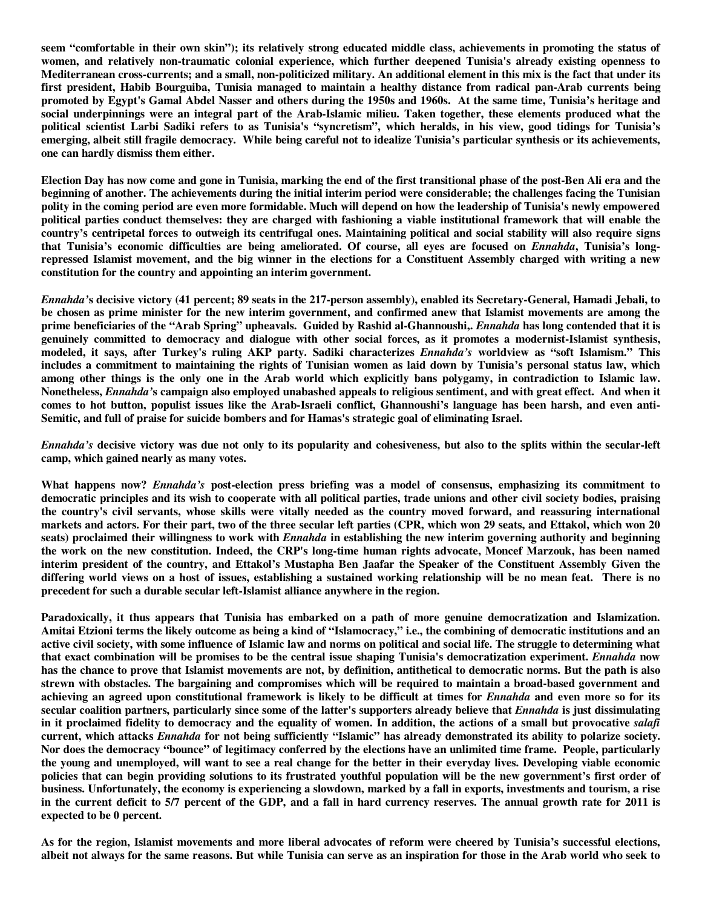**seem "comfortable in their own skin"); its relatively strong educated middle class, achievements in promoting the status of women, and relatively non-traumatic colonial experience, which further deepened Tunisia's already existing openness to Mediterranean cross-currents; and a small, non-politicized military. An additional element in this mix is the fact that under its first president, Habib Bourguiba, Tunisia managed to maintain a healthy distance from radical pan-Arab currents being promoted by Egypt's Gamal Abdel Nasser and others during the 1950s and 1960s. At the same time, Tunisia's heritage and social underpinnings were an integral part of the Arab-Islamic milieu. Taken together, these elements produced what the political scientist Larbi Sadiki refers to as Tunisia's "syncretism", which heralds, in his view, good tidings for Tunisia's emerging, albeit still fragile democracy. While being careful not to idealize Tunisia's particular synthesis or its achievements, one can hardly dismiss them either.** 

**Election Day has now come and gone in Tunisia, marking the end of the first transitional phase of the post-Ben Ali era and the beginning of another. The achievements during the initial interim period were considerable; the challenges facing the Tunisian polity in the coming period are even more formidable. Much will depend on how the leadership of Tunisia's newly empowered political parties conduct themselves: they are charged with fashioning a viable institutional framework that will enable the country's centripetal forces to outweigh its centrifugal ones. Maintaining political and social stability will also require signs that Tunisia's economic difficulties are being ameliorated. Of course, all eyes are focused on** *Ennahda***, Tunisia's longrepressed Islamist movement, and the big winner in the elections for a Constituent Assembly charged with writing a new constitution for the country and appointing an interim government.** 

*Ennahda'***s decisive victory (41 percent; 89 seats in the 217-person assembly), enabled its Secretary-General, Hamadi Jebali, to be chosen as prime minister for the new interim government, and confirmed anew that Islamist movements are among the prime beneficiaries of the "Arab Spring" upheavals. Guided by Rashid al-Ghannoushi,.** *Ennahda* **has long contended that it is genuinely committed to democracy and dialogue with other social forces, as it promotes a modernist-Islamist synthesis, modeled, it says, after Turkey's ruling AKP party. Sadiki characterizes** *Ennahda's* **worldview as "soft Islamism." This includes a commitment to maintaining the rights of Tunisian women as laid down by Tunisia's personal status law, which among other things is the only one in the Arab world which explicitly bans polygamy, in contradiction to Islamic law. Nonetheless,** *Ennahda'***s campaign also employed unabashed appeals to religious sentiment, and with great effect. And when it comes to hot button, populist issues like the Arab-Israeli conflict, Ghannoushi's language has been harsh, and even anti-Semitic, and full of praise for suicide bombers and for Hamas's strategic goal of eliminating Israel.** 

*Ennahda's* **decisive victory was due not only to its popularity and cohesiveness, but also to the splits within the secular-left camp, which gained nearly as many votes.** 

**What happens now?** *Ennahda's* **post-election press briefing was a model of consensus, emphasizing its commitment to democratic principles and its wish to cooperate with all political parties, trade unions and other civil society bodies, praising the country's civil servants, whose skills were vitally needed as the country moved forward, and reassuring international markets and actors. For their part, two of the three secular left parties (CPR, which won 29 seats, and Ettakol, which won 20 seats) proclaimed their willingness to work with** *Ennahda* **in establishing the new interim governing authority and beginning the work on the new constitution. Indeed, the CRP's long-time human rights advocate, Moncef Marzouk, has been named interim president of the country, and Ettakol's Mustapha Ben Jaafar the Speaker of the Constituent Assembly Given the differing world views on a host of issues, establishing a sustained working relationship will be no mean feat. There is no precedent for such a durable secular left-Islamist alliance anywhere in the region.** 

**Paradoxically, it thus appears that Tunisia has embarked on a path of more genuine democratization and Islamization. Amitai Etzioni terms the likely outcome as being a kind of "Islamocracy," i.e., the combining of democratic institutions and an active civil society, with some influence of Islamic law and norms on political and social life. The struggle to determining what that exact combination will be promises to be the central issue shaping Tunisia's democratization experiment.** *Ennahda* **now has the chance to prove that Islamist movements are not, by definition, antithetical to democratic norms. But the path is also strewn with obstacles. The bargaining and compromises which will be required to maintain a broad-based government and achieving an agreed upon constitutional framework is likely to be difficult at times for** *Ennahda* **and even more so for its secular coalition partners, particularly since some of the latter's supporters already believe that** *Ennahda* **is just dissimulating in it proclaimed fidelity to democracy and the equality of women. In addition, the actions of a small but provocative** *salafi* **current, which attacks** *Ennahda* **for not being sufficiently "Islamic" has already demonstrated its ability to polarize society. Nor does the democracy "bounce" of legitimacy conferred by the elections have an unlimited time frame. People, particularly the young and unemployed, will want to see a real change for the better in their everyday lives. Developing viable economic policies that can begin providing solutions to its frustrated youthful population will be the new government's first order of business. Unfortunately, the economy is experiencing a slowdown, marked by a fall in exports, investments and tourism, a rise in the current deficit to 5/7 percent of the GDP, and a fall in hard currency reserves. The annual growth rate for 2011 is expected to be 0 percent.** 

**As for the region, Islamist movements and more liberal advocates of reform were cheered by Tunisia's successful elections, albeit not always for the same reasons. But while Tunisia can serve as an inspiration for those in the Arab world who seek to**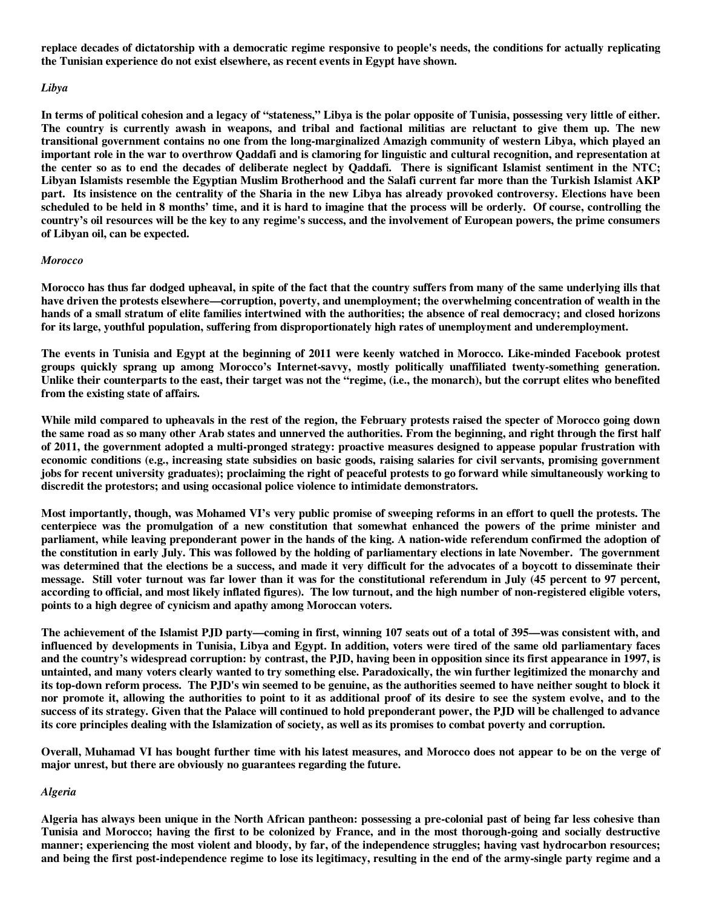**replace decades of dictatorship with a democratic regime responsive to people's needs, the conditions for actually replicating the Tunisian experience do not exist elsewhere, as recent events in Egypt have shown.** 

#### *Libya*

**In terms of political cohesion and a legacy of "stateness," Libya is the polar opposite of Tunisia, possessing very little of either. The country is currently awash in weapons, and tribal and factional militias are reluctant to give them up. The new transitional government contains no one from the long-marginalized Amazigh community of western Libya, which played an important role in the war to overthrow Qaddafi and is clamoring for linguistic and cultural recognition, and representation at the center so as to end the decades of deliberate neglect by Qaddafi. There is significant Islamist sentiment in the NTC; Libyan Islamists resemble the Egyptian Muslim Brotherhood and the Salafi current far more than the Turkish Islamist AKP part. Its insistence on the centrality of the Sharia in the new Libya has already provoked controversy. Elections have been scheduled to be held in 8 months' time, and it is hard to imagine that the process will be orderly. Of course, controlling the country's oil resources will be the key to any regime's success, and the involvement of European powers, the prime consumers of Libyan oil, can be expected.** 

#### *Morocco*

**Morocco has thus far dodged upheaval, in spite of the fact that the country suffers from many of the same underlying ills that have driven the protests elsewhere—corruption, poverty, and unemployment; the overwhelming concentration of wealth in the hands of a small stratum of elite families intertwined with the authorities; the absence of real democracy; and closed horizons for its large, youthful population, suffering from disproportionately high rates of unemployment and underemployment.** 

**The events in Tunisia and Egypt at the beginning of 2011 were keenly watched in Morocco. Like-minded Facebook protest groups quickly sprang up among Morocco's Internet-savvy, mostly politically unaffiliated twenty-something generation. Unlike their counterparts to the east, their target was not the "regime, (i.e., the monarch), but the corrupt elites who benefited from the existing state of affairs.** 

**While mild compared to upheavals in the rest of the region, the February protests raised the specter of Morocco going down the same road as so many other Arab states and unnerved the authorities. From the beginning, and right through the first half of 2011, the government adopted a multi-pronged strategy: proactive measures designed to appease popular frustration with economic conditions (e.g., increasing state subsidies on basic goods, raising salaries for civil servants, promising government jobs for recent university graduates); proclaiming the right of peaceful protests to go forward while simultaneously working to discredit the protestors; and using occasional police violence to intimidate demonstrators.** 

**Most importantly, though, was Mohamed VI's very public promise of sweeping reforms in an effort to quell the protests. The centerpiece was the promulgation of a new constitution that somewhat enhanced the powers of the prime minister and parliament, while leaving preponderant power in the hands of the king. A nation-wide referendum confirmed the adoption of the constitution in early July. This was followed by the holding of parliamentary elections in late November. The government was determined that the elections be a success, and made it very difficult for the advocates of a boycott to disseminate their message. Still voter turnout was far lower than it was for the constitutional referendum in July (45 percent to 97 percent, according to official, and most likely inflated figures). The low turnout, and the high number of non-registered eligible voters, points to a high degree of cynicism and apathy among Moroccan voters.** 

**The achievement of the Islamist PJD party—coming in first, winning 107 seats out of a total of 395—was consistent with, and influenced by developments in Tunisia, Libya and Egypt. In addition, voters were tired of the same old parliamentary faces and the country's widespread corruption: by contrast, the PJD, having been in opposition since its first appearance in 1997, is untainted, and many voters clearly wanted to try something else. Paradoxically, the win further legitimized the monarchy and its top-down reform process. The PJD's win seemed to be genuine, as the authorities seemed to have neither sought to block it nor promote it, allowing the authorities to point to it as additional proof of its desire to see the system evolve, and to the success of its strategy. Given that the Palace will continued to hold preponderant power, the PJD will be challenged to advance its core principles dealing with the Islamization of society, as well as its promises to combat poverty and corruption.** 

**Overall, Muhamad VI has bought further time with his latest measures, and Morocco does not appear to be on the verge of major unrest, but there are obviously no guarantees regarding the future.** 

#### *Algeria*

**Algeria has always been unique in the North African pantheon: possessing a pre-colonial past of being far less cohesive than Tunisia and Morocco; having the first to be colonized by France, and in the most thorough-going and socially destructive manner; experiencing the most violent and bloody, by far, of the independence struggles; having vast hydrocarbon resources; and being the first post-independence regime to lose its legitimacy, resulting in the end of the army-single party regime and a**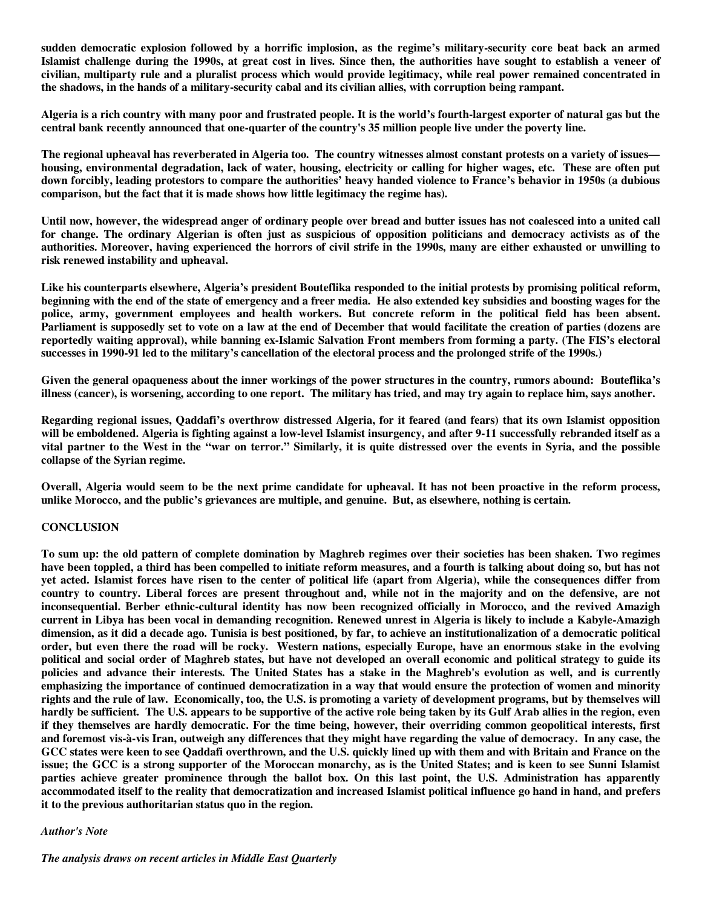**sudden democratic explosion followed by a horrific implosion, as the regime's military-security core beat back an armed Islamist challenge during the 1990s, at great cost in lives. Since then, the authorities have sought to establish a veneer of civilian, multiparty rule and a pluralist process which would provide legitimacy, while real power remained concentrated in the shadows, in the hands of a military-security cabal and its civilian allies, with corruption being rampant.** 

**Algeria is a rich country with many poor and frustrated people. It is the world's fourth-largest exporter of natural gas but the central bank recently announced that one-quarter of the country's 35 million people live under the poverty line.** 

**The regional upheaval has reverberated in Algeria too. The country witnesses almost constant protests on a variety of issues housing, environmental degradation, lack of water, housing, electricity or calling for higher wages, etc. These are often put down forcibly, leading protestors to compare the authorities' heavy handed violence to France's behavior in 1950s (a dubious comparison, but the fact that it is made shows how little legitimacy the regime has).** 

**Until now, however, the widespread anger of ordinary people over bread and butter issues has not coalesced into a united call for change. The ordinary Algerian is often just as suspicious of opposition politicians and democracy activists as of the authorities. Moreover, having experienced the horrors of civil strife in the 1990s, many are either exhausted or unwilling to risk renewed instability and upheaval.** 

**Like his counterparts elsewhere, Algeria's president Bouteflika responded to the initial protests by promising political reform, beginning with the end of the state of emergency and a freer media. He also extended key subsidies and boosting wages for the police, army, government employees and health workers. But concrete reform in the political field has been absent. Parliament is supposedly set to vote on a law at the end of December that would facilitate the creation of parties (dozens are reportedly waiting approval), while banning ex-Islamic Salvation Front members from forming a party. (The FIS's electoral successes in 1990-91 led to the military's cancellation of the electoral process and the prolonged strife of the 1990s.)** 

**Given the general opaqueness about the inner workings of the power structures in the country, rumors abound: Bouteflika's illness (cancer), is worsening, according to one report. The military has tried, and may try again to replace him, says another.** 

**Regarding regional issues, Qaddafi's overthrow distressed Algeria, for it feared (and fears) that its own Islamist opposition will be emboldened. Algeria is fighting against a low-level Islamist insurgency, and after 9-11 successfully rebranded itself as a vital partner to the West in the "war on terror." Similarly, it is quite distressed over the events in Syria, and the possible collapse of the Syrian regime.** 

**Overall, Algeria would seem to be the next prime candidate for upheaval. It has not been proactive in the reform process, unlike Morocco, and the public's grievances are multiple, and genuine. But, as elsewhere, nothing is certain.** 

## **CONCLUSION**

**To sum up: the old pattern of complete domination by Maghreb regimes over their societies has been shaken. Two regimes have been toppled, a third has been compelled to initiate reform measures, and a fourth is talking about doing so, but has not yet acted. Islamist forces have risen to the center of political life (apart from Algeria), while the consequences differ from country to country. Liberal forces are present throughout and, while not in the majority and on the defensive, are not inconsequential. Berber ethnic-cultural identity has now been recognized officially in Morocco, and the revived Amazigh current in Libya has been vocal in demanding recognition. Renewed unrest in Algeria is likely to include a Kabyle-Amazigh dimension, as it did a decade ago. Tunisia is best positioned, by far, to achieve an institutionalization of a democratic political order, but even there the road will be rocky. Western nations, especially Europe, have an enormous stake in the evolving political and social order of Maghreb states, but have not developed an overall economic and political strategy to guide its policies and advance their interests. The United States has a stake in the Maghreb's evolution as well, and is currently emphasizing the importance of continued democratization in a way that would ensure the protection of women and minority rights and the rule of law. Economically, too, the U.S. is promoting a variety of development programs, but by themselves will hardly be sufficient. The U.S. appears to be supportive of the active role being taken by its Gulf Arab allies in the region, even if they themselves are hardly democratic. For the time being, however, their overriding common geopolitical interests, first and foremost vis-à-vis Iran, outweigh any differences that they might have regarding the value of democracy. In any case, the GCC states were keen to see Qaddafi overthrown, and the U.S. quickly lined up with them and with Britain and France on the issue; the GCC is a strong supporter of the Moroccan monarchy, as is the United States; and is keen to see Sunni Islamist parties achieve greater prominence through the ballot box. On this last point, the U.S. Administration has apparently accommodated itself to the reality that democratization and increased Islamist political influence go hand in hand, and prefers it to the previous authoritarian status quo in the region.** 

#### *Author's Note*

*The analysis draws on recent articles in Middle East Quarterly*